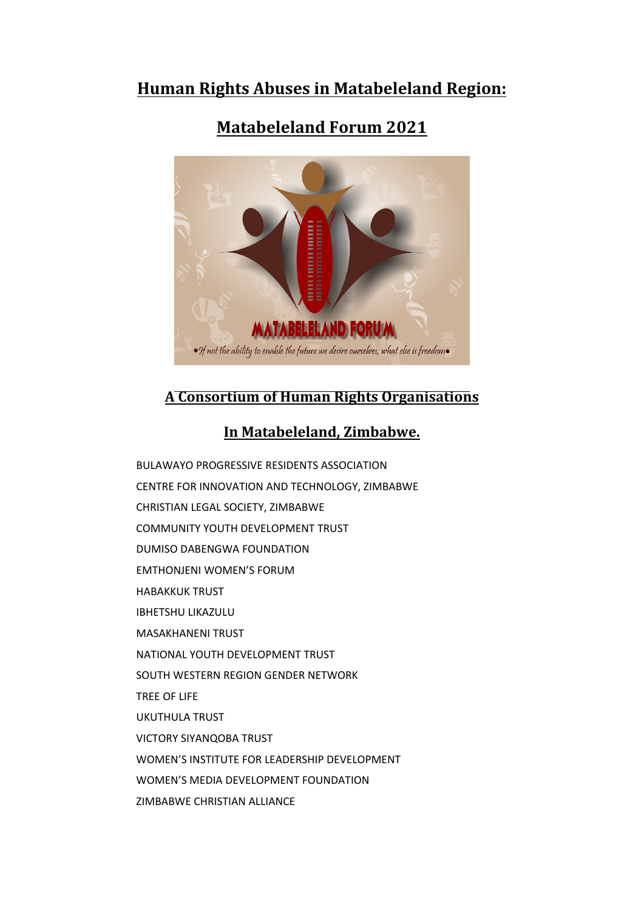# **Human Rights Abuses in Matabeleland Region:**

# **Matabeleland Forum 2021**



# **A Consortium of Human Rights Organisations**

# **In Matabeleland, Zimbabwe.**

BULAWAYO PROGRESSIVE RESIDENTS ASSOCIATION CENTRE FOR INNOVATION AND TECHNOLOGY, ZIMBABWE CHRISTIAN LEGAL SOCIETY, ZIMBABWE COMMUNITY YOUTH DEVELOPMENT TRUST DUMISO DABENGWA FOUNDATION EMTHONJENI WOMEN'S FORUM HABAKKUK TRUST IBHETSHU LIKAZULU MASAKHANENI TRUST NATIONAL YOUTH DEVELOPMENT TRUST SOUTH WESTERN REGION GENDER NETWORK TREE OF LIFE UKUTHULA TRUST VICTORY SIYANQOBA TRUST WOMEN'S INSTITUTE FOR LEADERSHIP DEVELOPMENT WOMEN'S MEDIA DEVELOPMENT FOUNDATION ZIMBABWE CHRISTIAN ALLIANCE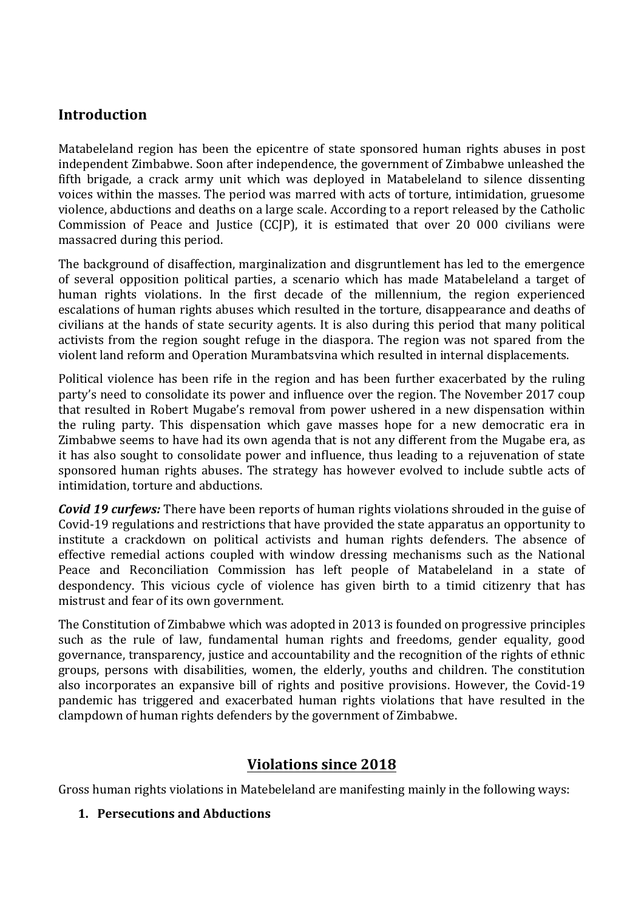### **Introduction**

Matabeleland region has been the epicentre of state sponsored human rights abuses in post independent Zimbabwe. Soon after independence, the governmen<sup>t</sup> of Zimbabwe unleashed the fifth brigade, <sup>a</sup> crack army unit which was deployed in Matabeleland to silence dissenting voices within the masses. The period was marred with acts of torture, intimidation, gruesome violence, abductions and deaths on <sup>a</sup> large scale. According to <sup>a</sup> report released by the Catholic Commission of Peace and Justice (CCJP), it is estimated that over 20 000 civilians were massacred during this period.

The background of disaffection, marginalization and disgruntlement has led to the emergence of several opposition political parties, <sup>a</sup> scenario which has made Matabeleland <sup>a</sup> target of human rights violations. In the first decade of the millennium, the region experienced escalations of human rights abuses which resulted in the torture, disappearance and deaths of civilians at the hands of state security agents. It is also during this period that many political activists from the region sought refuge in the diaspora. The region was not spared from the violent land reform and Operation Murambatsvina which resulted in internal displacements.

Political violence has been rife in the region and has been further exacerbated by the ruling party'<sup>s</sup> need to consolidate its power and influence over the region. The November 2017 coup that resulted in Robert Mugabe'<sup>s</sup> removal from power ushered in <sup>a</sup> new dispensation within the ruling party. This dispensation which gave masses hope for <sup>a</sup> new democratic era in Zimbabwe seems to have had its own agenda that is not any different from the Mugabe era, as it has also sought to consolidate power and influence, thus leading to <sup>a</sup> rejuvenation of state sponsored human rights abuses. The strategy has however evolved to include subtle acts of intimidation, torture and abductions.

*Covid 19 curfews:* There have been reports of human rights violations shrouded in the guise of Covid-19 regulations and restrictions that have provided the state apparatus an opportunity to institute <sup>a</sup> crackdown on political activists and human rights defenders. The absence of effective remedial actions coupled with window dressing mechanisms such as the National Peace and Reconciliation Commission has left people of Matabeleland in <sup>a</sup> state of despondency. This vicious cycle of violence has given birth to <sup>a</sup> timid citizenry that has mistrust and fear of its own government.

The Constitution of Zimbabwe which was adopted in 2013 is founded on progressive principles such as the rule of law, fundamental human rights and freedoms, gender equality, good governance, transparency, justice and accountability and the recognition of the rights of ethnic groups, persons with disabilities, women, the elderly, youths and children. The constitution also incorporates an expansive bill of rights and positive provisions. However, the Covid-19 pandemic has triggered and exacerbated human rights violations that have resulted in the clampdown of human rights defenders by the governmen<sup>t</sup> of Zimbabwe.

# **Violations since 2018**

Gross human rights violations in Matebeleland are manifesting mainly in the following ways:

#### **1. Persecutions and Abductions**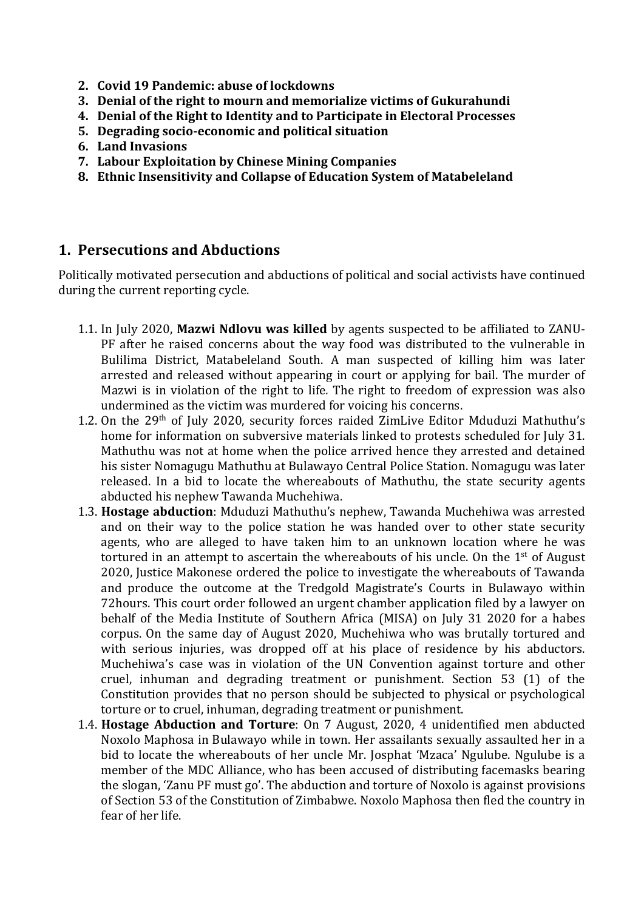- **2. Covid 19 Pandemic: abuse of lockdowns**
- **3. Denial of the right to mourn and memorialize victims of Gukurahundi**
- **4. Denial of the Right to Identity and to Participate in Electoral Processes**
- **5. Degrading socio-economic and political situation**
- **6. Land Invasions**
- **7. Labour Exploitation by Chinese Mining Companies**
- **8. Ethnic Insensitivity and Collapse of Education System of Matabeleland**

#### **1. Persecutions and Abductions**

Politically motivated persecution and abductions of political and social activists have continued during the current reporting cycle.

- 1.1. In July 2020, **Mazwi Ndlovu was killed** by agents suspected to be affiliated to ZANU-PF after he raised concerns about the way food was distributed to the vulnerable in Bulilima District, Matabeleland South. A man suspected of killing him was later arrested and released without appearing in court or applying for bail. The murder of Mazwi is in violation of the right to life*.* The right to freedom of expression was also undermined as the victim was murdered for voicing his concerns.
- 1.2. On the 29<sup>th</sup> of July 2020, security forces raided ZimLive Editor Mduduzi Mathuthu's home for information on subversive materials linked to protests scheduled for July 31. Mathuthu was not at home when the police arrived hence they arrested and detained his sister Nomagugu Mathuthu at Bulawayo Central Police Station. Nomagugu was later released. In <sup>a</sup> bid to locate the whereabouts of Mathuthu, the state security agents abducted his nephew Tawanda Muchehiwa.
- 1.3. **Hostage abduction**: Mduduzi Mathuthu'<sup>s</sup> nephew, Tawanda Muchehiwa was arrested and on their way to the police station he was handed over to other state security agents, who are alleged to have taken him to an unknown location where he was tortured in an attempt to ascertain the whereabouts of his uncle. On the 1st of August 2020, Justice Makonese ordered the police to investigate the whereabouts of Tawanda and produce the outcome at the Tredgold Magistrate'<sup>s</sup> Courts in Bulawayo within 72hours. This court order followed an urgen<sup>t</sup> chamber application filed by <sup>a</sup> lawyer on behalf of the Media Institute of Southern Africa (MISA) on July 31 2020 for <sup>a</sup> habes corpus. On the same day of August 2020, Muchehiwa who was brutally tortured and with serious injuries, was dropped off at his place of residence by his abductors. Muchehiwa'<sup>s</sup> case was in violation of the UN Convention against torture and other cruel, inhuman and degrading treatment or punishment. Section 53 (1) of the Constitution provides that no person should be subjected to physical or psychological torture or to cruel, inhuman, degrading treatment or punishment.
- 1.4. **Hostage Abduction and Torture**: On 7 August, 2020, 4 unidentified men abducted Noxolo Maphosa in Bulawayo while in town. Her assailants sexually assaulted her in <sup>a</sup> bid to locate the whereabouts of her uncle Mr. Josphat 'Mzaca' Ngulube. Ngulube is <sup>a</sup> member of the MDC Alliance, who has been accused of distributing facemasks bearing the slogan, 'Zanu PF must go'. The abduction and torture of Noxolo is against provisions of Section 53 of the Constitution of Zimbabwe. Noxolo Maphosa then fled the country in fear of her life.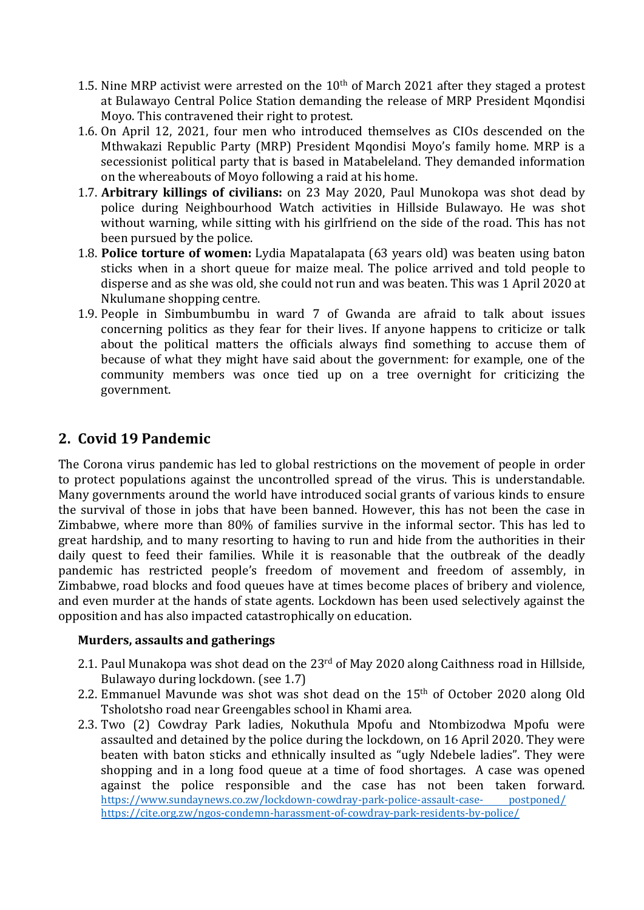- 1.5. Nine MRP activist were arrested on the  $10^{\rm th}$  of March 2021 after they staged a protest at Bulawayo Central Police Station demanding the release of MRP President Mqondisi Moyo. This contravened their right to protest.
- 1.6. On April 12, 2021, four men who introduced themselves as CIOs descended on the Mthwakazi Republic Party (MRP) President Mqondisi Moyo'<sup>s</sup> family home. MRP is <sup>a</sup> secessionist political party that is based in Matabeleland. They demanded information on the whereabouts of Moyo following <sup>a</sup> raid at his home.
- 1.7. **Arbitrary killings of civilians:** on 23 May 2020, Paul Munokopa was shot dead by police during Neighbourhood Watch activities in Hillside Bulawayo. He was shot without warning, while sitting with his girlfriend on the side of the road. This has not been pursued by the police.
- 1.8. **Police torture of women:** Lydia Mapatalapata (63 years old) was beaten using baton sticks when in <sup>a</sup> short queue for maize meal. The police arrived and told people to disperse and as she was old, she could not run and was beaten. This was 1 April 2020 at Nkulumane shopping centre.
- 1.9. People in Simbumbumbu in ward 7 of Gwanda are afraid to talk about issues concerning politics as they fear for their lives. If anyone happens to criticize or talk about the political matters the officials always find something to accuse them of because of what they might have said about the government: for example, one of the community members was once tied up on <sup>a</sup> tree overnight for criticizing the government.

# **2. Covid 19 Pandemic**

The Corona virus pandemic has led to global restrictions on the movement of people in order to protect populations against the uncontrolled spread of the virus. This is understandable. Many governments around the world have introduced social grants of various kinds to ensure the survival of those in jobs that have been banned. However, this has not been the case in Zimbabwe, where more than 80% of families survive in the informal sector. This has led to grea<sup>t</sup> hardship, and to many resorting to having to run and hide from the authorities in their daily quest to feed their families. While it is reasonable that the outbreak of the deadly pandemic has restricted people'<sup>s</sup> freedom of movement and freedom of assembly, in Zimbabwe, road blocks and food queues have at times become places of bribery and violence, and even murder at the hands of state agents. Lockdown has been used selectively against the opposition and has also impacted catastrophically on education.

#### **Murders, assaults and gatherings**

- 2.1. Paul Munakopa was shot dead on the 23<sup>rd</sup> of May 2020 along Caithness road in Hillside, Bulawayo during lockdown. (see 1.7)
- 2.2. Emmanuel Mavunde was shot was shot dead on the 15<sup>th</sup> of October 2020 along Old Tsholotsho road near Greengables school in Khami area.
- 2.3. Two (2) Cowdray Park ladies, Nokuthula Mpofu and Ntombizodwa Mpofu were assaulted and detained by the police during the lockdown, on 16 April 2020. They were beaten with baton sticks and ethnically insulted as "ugly Ndebele ladies". They were shopping and in <sup>a</sup> long food queue at <sup>a</sup> time of food shortages. A case was opened against the police responsible and the case has not been taken forward. [https://www.sundaynews.co.zw/lockdown-cowdray-park-police-assault-case-](https://www.sundaynews.co.zw/lockdown-cowdray-park-police-assault-case-%20%20%20%20%20%20%20%20%20%20postponed/) postponed/ <https://cite.org.zw/ngos-condemn-harassment-of-cowdray-park-residents-by-police/>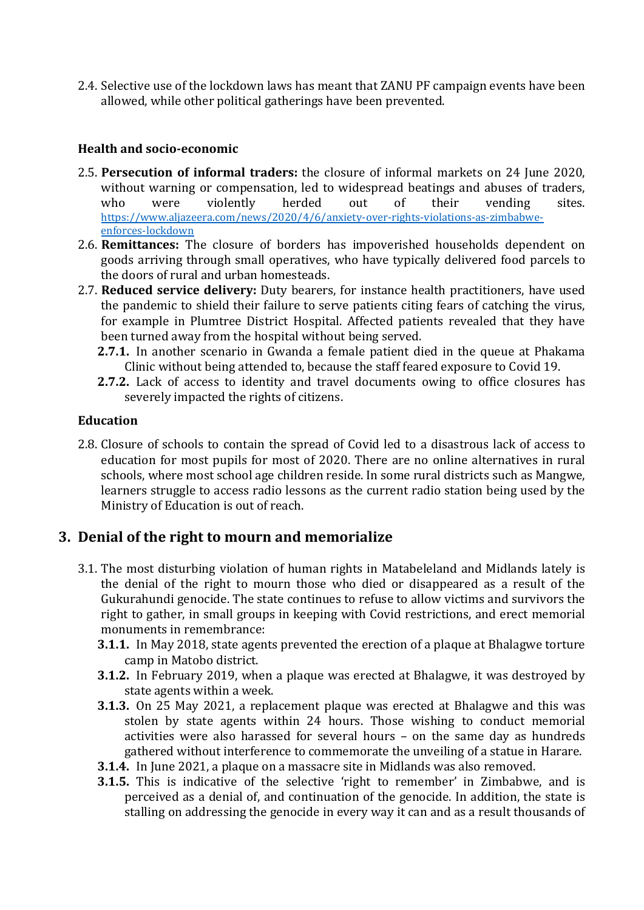2.4. Selective use of the lockdown laws has meant that ZANU PF campaign events have been allowed, while other political gatherings have been prevented.

#### **Health and socio-economic**

- 2.5. **Persecution of informal traders:** the closure of informal markets on 24 June 2020, without warning or compensation, led to widespread beatings and abuses of traders, who were violently herded out of their vending sites. [https://www.aljazeera.com/news/2020/4/6/anxiety-over-rights-violations-as-zimbabwe](https://www.aljazeera.com/news/2020/4/6/anxiety-over-rights-violations-as-zimbabwe-enforces-lockdown)[enforces-lockdown](https://www.aljazeera.com/news/2020/4/6/anxiety-over-rights-violations-as-zimbabwe-enforces-lockdown)
- 2.6. **Remittances:** The closure of borders has impoverished households dependent on goods arriving through small operatives, who have typically delivered food parcels to the doors of rural and urban homesteads.
- 2.7. **Reduced service delivery:** Duty bearers, for instance health practitioners, have used the pandemic to shield their failure to serve patients citing fears of catching the virus, for example in Plumtree District Hospital. Affected patients revealed that they have been turned away from the hospital without being served.
	- **2.7.1.** In another scenario in Gwanda <sup>a</sup> female patient died in the queue at Phakama Clinic without being attended to, because the staff feared exposure to Covid 19.
	- **2.7.2.** Lack of access to identity and travel documents owing to office closures has severely impacted the rights of citizens.

#### **Education**

2.8. Closure of schools to contain the spread of Covid led to <sup>a</sup> disastrous lack of access to education for most pupils for most of 2020. There are no online alternatives in rural schools, where most school age children reside. In some rural districts such as Mangwe, learners struggle to access radio lessons as the current radio station being used by the Ministry of Education is out of reach.

### **3. Denial of the right to mourn and memorialize**

- 3.1. The most disturbing violation of human rights in Matabeleland and Midlands lately is the denial of the right to mourn those who died or disappeared as <sup>a</sup> result of the Gukurahundi genocide. The state continues to refuse to allow victims and survivors the right to gather, in small groups in keeping with Covid restrictions, and erect memorial monuments in remembrance:
	- **3.1.1.** In May 2018, state agents prevented the erection of <sup>a</sup> plaque at Bhalagwe torture camp in Matobo district.
	- **3.1.2.** In February 2019, when <sup>a</sup> plaque was erected at Bhalagwe, it was destroyed by state agents within <sup>a</sup> week.
	- **3.1.3.** On 25 May 2021, <sup>a</sup> replacement plaque was erected at Bhalagwe and this was stolen by state agents within 24 hours. Those wishing to conduct memorial activities were also harassed for several hours – on the same day as hundreds gathered without interference to commemorate the unveiling of <sup>a</sup> statue in Harare.
	- **3.1.4.** In June 2021, <sup>a</sup> plaque on <sup>a</sup> massacre site in Midlands was also removed.
	- **3.1.5.** This is indicative of the selective 'right to remember' in Zimbabwe, and is perceived as <sup>a</sup> denial of, and continuation of the genocide. In addition, the state is stalling on addressing the genocide in every way it can and as <sup>a</sup> result thousands of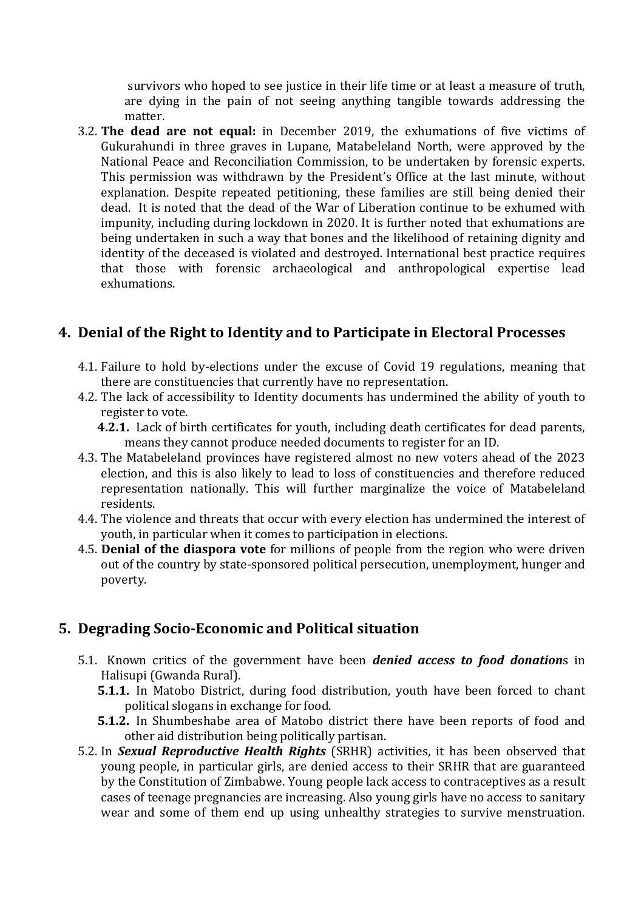survivors who hoped to see justice in their life time or at least <sup>a</sup> measure of truth, are dying in the pain of not seeing anything tangible towards addressing the matter.

3.2. **The dead are not equal:** in December 2019, the exhumations of five victims of Gukurahundi in three graves in Lupane, Matabeleland North, were approved by the National Peace and Reconciliation Commission, to be undertaken by forensic experts. This permission was withdrawn by the President'<sup>s</sup> Office at the last minute, without explanation. Despite repeated petitioning, these families are still being denied their dead. It is noted that the dead of the War of Liberation continue to be exhumed with impunity, including during lockdown in 2020. It is further noted that exhumations are being undertaken in such <sup>a</sup> way that bones and the likelihood of retaining dignity and identity of the deceased is violated and destroyed. International best practice requires that those with forensic archaeological and anthropological expertise lead exhumations.

### **4. Denial of the Right to Identity and to Participate in Electoral Processes**

- 4.1. Failure to hold by-elections under the excuse of Covid 19 regulations, meaning that there are constituencies that currently have no representation.
- 4.2. The lack of accessibility to Identity documents has undermined the ability of youth to register to vote.
	- **4.2.1.** Lack of birth certificates for youth, including death certificates for dead parents, means they cannot produce needed documents to register for an ID.
- 4.3. The Matabeleland provinces have registered almost no new voters ahead of the 2023 election, and this is also likely to lead to loss of constituencies and therefore reduced representation nationally. This will further marginalize the voice of Matabeleland residents.
- 4.4. The violence and threats that occur with every election has undermined the interest of youth, in particular when it comes to participation in elections.
- 4.5. **Denial of the diaspora vote** for millions of people from the region who were driven out of the country by state-sponsored political persecution, unemployment, hunger and poverty.

# **5. Degrading Socio-Economic and Political situation**

- 5.1. Known critics of the governmen<sup>t</sup> have been *denied access to food donation*<sup>s</sup> in Halisupi (Gwanda Rural).
	- **5.1.1.** In Matobo District, during food distribution, youth have been forced to chant political slogans in exchange for food.
	- **5.1.2.** In Shumbeshabe area of Matobo district there have been reports of food and other aid distribution being politically partisan.
- 5.2. In *Sexual Reproductive Health Rights* (SRHR) activities, it has been observed that young people, in particular girls, are denied access to their SRHR that are guaranteed by the Constitution of Zimbabwe. Young people lack access to contraceptives as <sup>a</sup> result cases of teenage pregnancies are increasing. Also young girls have no access to sanitary wear and some of them end up using unhealthy strategies to survive menstruation.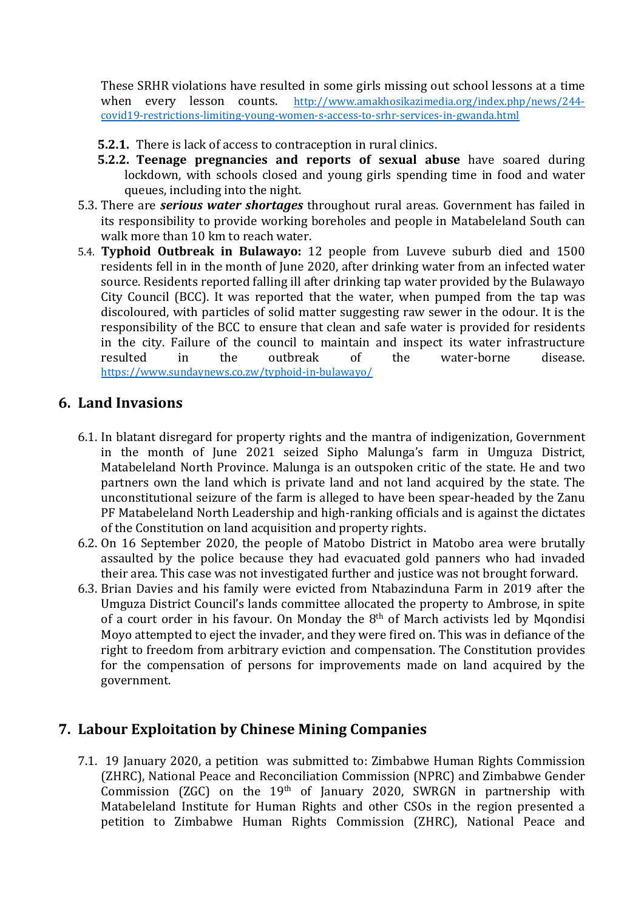These SRHR violations have resulted in some girls missing out school lessons at <sup>a</sup> time when every lesson counts. [http://www.amakhosikazimedia.org/index.php/news/244](http://www.amakhosikazimedia.org/index.php/news/244-covid19-restrictions-limiting-young-women-s-access-to-srhr-services-in-gwanda.html) [covid19-restrictions-limiting-young-women-s-access-to-srhr-services-in-gwanda.html](http://www.amakhosikazimedia.org/index.php/news/244-covid19-restrictions-limiting-young-women-s-access-to-srhr-services-in-gwanda.html)

- **5.2.1.** There is lack of access to contraception in rural clinics.
- **5.2.2. Teenage pregnancies and reports of sexual abuse** have soared during lockdown, with schools closed and young girls spending time in food and water queues, including into the night.
- 5.3. There are *serious water shortages* throughout rural areas. Government has failed in its responsibility to provide working boreholes and people in Matabeleland South can walk more than 10 km to reach water.
- 5.4. **Typhoid Outbreak in Bulawayo:** 12 people from Luveve suburb died and 1500 residents fell in in the month of June 2020, after drinking water from an infected water source. Residents reported falling ill after drinking tap water provided by the Bulawayo City Council (BCC). It was reported that the water, when pumped from the tap was discoloured, with particles of solid matter suggesting raw sewer in the odour. It is the responsibility of the BCC to ensure that clean and safe water is provided for residents in the city. Failure of the council to maintain and inspect its water infrastructure resulted in the outbreak of the water-borne disease. <https://www.sundaynews.co.zw/typhoid-in-bulawayo/>

### **6. Land Invasions**

- 6.1. In blatant disregard for property rights and the mantra of indigenization, Government in the month of June 2021 seized Sipho Malunga'<sup>s</sup> farm in Umguza District, Matabeleland North Province. Malunga is an outspoken critic of the state. He and two partners own the land which is private land and not land acquired by the state. The unconstitutional seizure of the farm is alleged to have been spear-headed by the Zanu PF Matabeleland North Leadership and high-ranking officials and is against the dictates of the Constitution on land acquisition and property rights.
- 6.2. On 16 September 2020, the people of Matobo District in Matobo area were brutally assaulted by the police because they had evacuated gold panners who had invaded their area. This case was not investigated further and justice was not brought forward.
- 6.3. Brian Davies and his family were evicted from Ntabazinduna Farm in 2019 after the Umguza District Council'<sup>s</sup> lands committee allocated the property to Ambrose, in spite of a court order in his favour. On Monday the  $8^{\rm th}$  of March activists led by Mqondisi Moyo attempted to eject the invader, and they were fired on. This was in defiance of the right to freedom from arbitrary eviction and compensation. The Constitution provides for the compensation of persons for improvements made on land acquired by the government.

# **7. Labour Exploitation by Chinese Mining Companies**

7.1. 19 January 2020, <sup>a</sup> petition was submitted to: Zimbabwe Human Rights Commission (ZHRC), National Peace and Reconciliation Commission (NPRC) and Zimbabwe Gender Commission (ZGC) on the 19<sup>th</sup> of January 2020, SWRGN in partnership with Matabeleland Institute for Human Rights and other CSOs in the region presented <sup>a</sup> petition to Zimbabwe Human Rights Commission (ZHRC), National Peace and